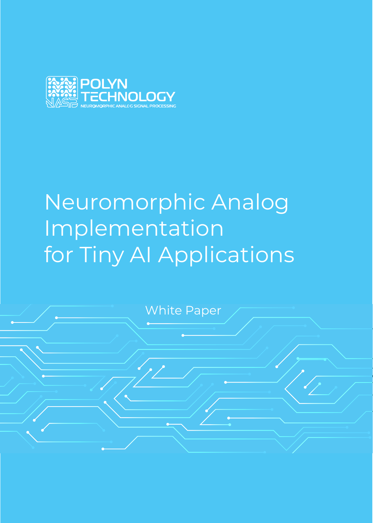

# Neuromorphic Analog Implementation for Tiny AI Applications

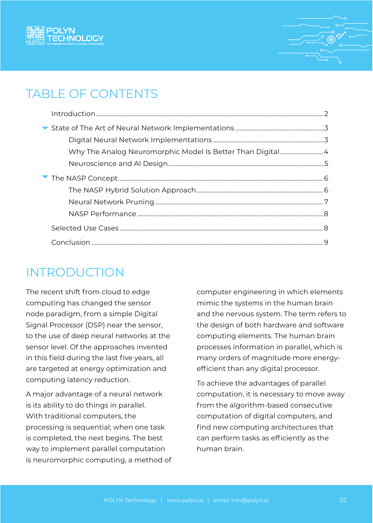



## TABLE OF CONTENTS

### INTRODUCTION

The recent shift from cloud to edge computing has changed the sensor node paradigm, from a simple Digital Signal Processor (DSP) near the sensor, to the use of deep neural networks at the sensor level. Of the approaches invented in this field during the last five years, all are targeted at energy optimization and computing latency reduction.

A major advantage of a neural network is its ability to do things in parallel. With traditional computers, the processing is sequential; when one task is completed, the next begins. The best way to implement parallel computation is neuromorphic computing, a method of computer engineering in which elements mimic the systems in the human brain and the nervous system. The term refers to the design of both hardware and software computing elements. The human brain processes information in parallel, which is many orders of magnitude more energyefficient than any digital processor.

To achieve the advantages of parallel computation, it is necessary to move away from the algorithm-based consecutive computation of digital computers, and find new computing architectures that can perform tasks as efficiently as the human brain.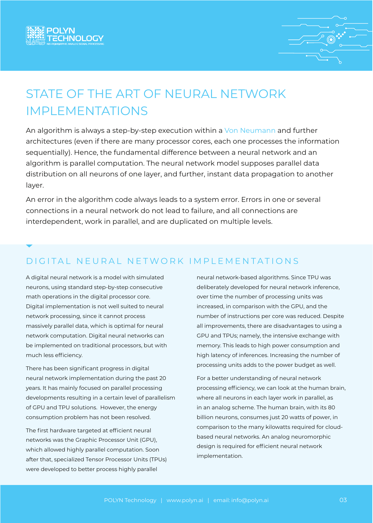



## STATE OF THE ART OF NEURAL NETWORK IMPLEMENTATIONS

An algorithm is always a step-by-step execution within a [Von Neumann](https://en.wikipedia.org/wiki/Von_Neumann_architecture) and further architectures (even if there are many processor cores, each one processes the information sequentially). Hence, the fundamental difference between a neural network and an algorithm is parallel computation. The neural network model supposes parallel data distribution on all neurons of one layer, and further, instant data propagation to another layer.

An error in the algorithm code always leads to a system error. Errors in one or several connections in a neural network do not lead to failure, and all connections are interdependent, work in parallel, and are duplicated on multiple levels.

#### D I G I T A L N E U R A L N E T W O R K I M P L E M E N T A T I O N S

A digital neural network is a model with simulated neurons, using standard step-by-step consecutive math operations in the digital processor core. Digital implementation is not well suited to neural network processing, since it cannot process massively parallel data, which is optimal for neural network computation. Digital neural networks can be implemented on traditional processors, but with much less efficiency.

There has been significant progress in digital neural network implementation during the past 20 years. It has mainly focused on parallel processing developments resulting in a certain level of parallelism of GPU and TPU solutions. However, the energy consumption problem has not been resolved.

The first hardware targeted at efficient neural networks was the Graphic Processor Unit (GPU), which allowed highly parallel computation. Soon after that, specialized Tensor Processor Units (TPUs) were developed to better process highly parallel

neural network-based algorithms. Since TPU was deliberately developed for neural network inference, over time the number of processing units was increased, in comparison with the GPU, and the number of instructions per core was reduced. Despite all improvements, there are disadvantages to using a GPU and TPUs; namely, the intensive exchange with memory. This leads to high power consumption and high latency of inferences. Increasing the number of processing units adds to the power budget as well.

For a better understanding of neural network processing efficiency, we can look at the human brain, where all neurons in each layer work in parallel, as in an analog scheme. The human brain, with its 80 billion neurons, consumes just 20 watts of power, in comparison to the many kilowatts required for cloudbased neural networks. An analog neuromorphic design is required for efficient neural network implementation.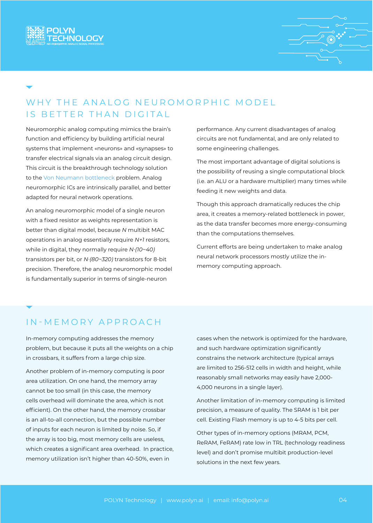



### WHY THE ANALOG NEUROMORPHIC MODEL IS BETTER THAN DIGITAL

Neuromorphic analog computing mimics the brain's function and efficiency by building artificial neural systems that implement «neurons» and «synapses» to transfer electrical signals via an analog circuit design. This circuit is the breakthrough technology solution to the [Von Neumann bottleneck](https://www.techtarget.com/whatis/definition/von-Neumann-bottleneck#:~:text=The%20von%20Neumann%20bottleneck%20is,processing%20while%20they%20were%20running.) problem. Analog neuromorphic ICs are intrinsically parallel, and better adapted for neural network operations.

An analog neuromorphic model of a single neuron with a fixed resistor as weights representation is better than digital model, because *N* multibit MAC operations in analog essentially require *N+1* resistors, while in digital, they normally require *N·(10~40)* transistors per bit, or *N·(80~320)* transistors for 8-bit precision. Therefore, the analog neuromorphic model is fundamentally superior in terms of single-neuron

performance. Any current disadvantages of analog circuits are not fundamental, and are only related to some engineering challenges.

The most important advantage of digital solutions is the possibility of reusing a single computational block (i.e. an ALU or a hardware multiplier) many times while feeding it new weights and data.

Though this approach dramatically reduces the chip area, it creates a memory-related bottleneck in power, as the data transfer becomes more energy-consuming than the computations themselves.

Current efforts are being undertaken to make analog neural network processors mostly utilize the inmemory computing approach.

#### IN-MEMORY APPROACH

In-memory computing addresses the memory problem, but because it puts all the weights on a chip in crossbars, it suffers from a large chip size.

Another problem of in-memory computing is poor area utilization. On one hand, the memory array cannot be too small (in this case, the memory cells overhead will dominate the area, which is not efficient). On the other hand, the memory crossbar is an all-to-all connection, but the possible number of inputs for each neuron is limited by noise. So, if the array is too big, most memory cells are useless, which creates a significant area overhead. In practice, memory utilization isn't higher than 40-50%, even in

cases when the network is optimized for the hardware, and such hardware optimization significantly constrains the network architecture (typical arrays are limited to 256-512 cells in width and height, while reasonably small networks may easily have 2,000- 4,000 neurons in a single layer).

Another limitation of in-memory computing is limited precision, a measure of quality. The SRAM is 1 bit per cell. Existing Flash memory is up to 4-5 bits per cell.

Other types of in-memory options (MRAM, PCM, ReRAM, FeRAM) rate low in TRL (technology readiness level) and don't promise multibit production-level solutions in the next few years.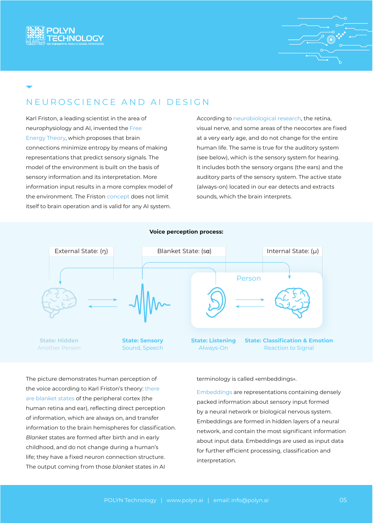



#### NEUROSCIENCE AND AI DESIGN

Karl Friston, a leading scientist in the area of neurophysiology and AI, invented the [Free](https://en.wikipedia.org/wiki/Free_energy_principle)  [Energy Theory](https://en.wikipedia.org/wiki/Free_energy_principle), which proposes that brain connections minimize entropy by means of making representations that predict sensory signals. The model of the environment is built on the basis of sensory information and its interpretation. More information input results in a more complex model of the environment. The Friston [concept](https://www.ece.uvic.ca/~bctill/papers/ememcog/Friston_2002.pdf) does not limit itself to brain operation and is valid for any AI system.

According to [neurobiological research](https://journals.plos.org/plosone/article?id=10.1371/journal.pone.0246952), the retina, visual nerve, and some areas of the neocortex are fixed at a very early age, and do not change for the entire human life. The same is true for the auditory system (see below), which is the sensory system for hearing. It includes both the sensory organs (the ears) and the auditory parts of the sensory system. The active state (always-on) located in our ear detects and extracts sounds, which the brain interprets.



The picture demonstrates human perception of the voice according to Karl Friston's theory: [there](https://www.frontiersin.org/articles/10.3389/fncom.2020.00030/full)  [are blanket states](https://www.frontiersin.org/articles/10.3389/fncom.2020.00030/full) of the peripheral cortex (the human retina and ear), reflecting direct perception of information, which are always on, and transfer information to the brain hemispheres for classification. *Blanket* states are formed after birth and in early childhood, and do not change during a human's life; they have a fixed neuron connection structure. The output coming from those *blanket* states in AI

terminology is called «embeddings».

[Embeddings](https://towardsdatascience.com/neural-network-embeddings-explained-4d028e6f0526) are representations containing densely packed information about sensory input formed by a neural network or biological nervous system. Embeddings are formed in hidden layers of a neural network, and contain the most significant information about input data. Embeddings are used as input data for further efficient processing, classification and interpretation.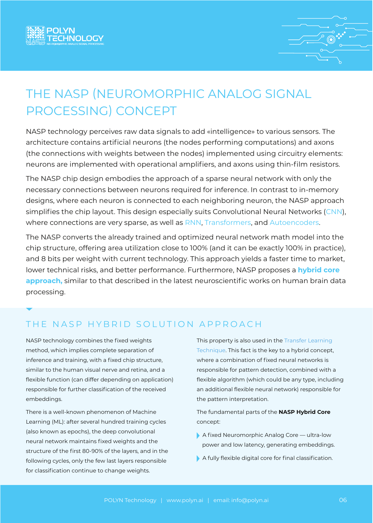



## THE NASP (NEUROMORPHIC ANALOG SIGNAL PROCESSING) CONCEPT

NASP technology perceives raw data signals to add «intelligence» to various sensors. The architecture contains artificial neurons (the nodes performing computations) and axons (the connections with weights between the nodes) implemented using circuitry elements: neurons are implemented with operational amplifiers, and axons using thin-film resistors.

The NASP chip design embodies the approach of a sparse neural network with only the necessary connections between neurons required for inference. In contrast to in-memory designs, where each neuron is connected to each neighboring neuron, the NASP approach simplifies the chip layout. This design especially suits Convolutional Neural Networks ([CNN\)](https://en.wikipedia.org/wiki/Convolutional_neural_network), where connections are very sparse, as well as [RNN](https://en.wikipedia.org/wiki/Recurrent_neural_network), [Transformers,](https://en.wikipedia.org/wiki/Transformer_(machine_learning_model)) and [Autoencoders](https://en.wikipedia.org/wiki/Autoencoder).

The NASP converts the already trained and optimized neural network math model into the chip structure, offering area utilization close to 100% (and it can be exactly 100% in practice), and 8 bits per weight with current technology. This approach yields a faster time to market, lower technical risks, and better performance. Furthermore, NASP proposes a **hybrid core approach,** similar to that described in the latest neuroscientific works on human brain data processing.

#### THE NASP HYBRID SOLUTION APPROACH

NASP technology combines the fixed weights method, which implies complete separation of inference and training, with a fixed chip structure, similar to the human visual nerve and retina, and a flexible function (can differ depending on application) responsible for further classification of the received embeddings.

There is a well-known phenomenon of Machine Learning (ML): after several hundred training cycles (also known as epochs), the deep convolutional neural network maintains fixed weights and the structure of the first 80-90% of the layers, and in the following cycles, only the few last layers responsible for classification continue to change weights.

This property is also used in the Transfer Learning [Technique.](https://arxiv.org/pdf/1502.02791.pdf) This fact is the key to a hybrid concept, where a combination of fixed neural networks is responsible for pattern detection, combined with a flexible algorithm (which could be any type, including an additional flexible neural network) responsible for the pattern interpretation.

The fundamental parts of the **NASP Hybrid Core** concept:

- A fixed Neuromorphic Analog Core ultra-low power and low latency, generating embeddings.
- A fully flexible digital core for final classification.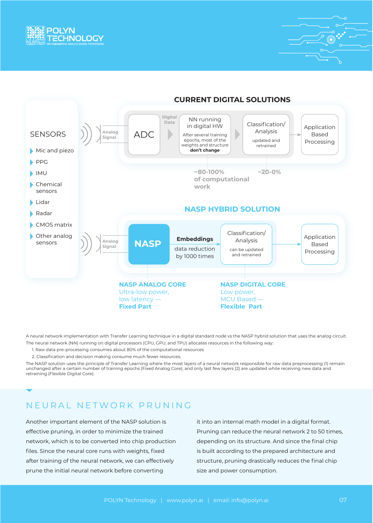



#### **CURRENT DIGITAL SOLUTIONS**

A neural network implementation with Transfer Learning technique in a digital standard node vs the NASP hybrid solution that uses the analog circuit. The neural network (NN) running on digital processors (CPU, GPU, and TPU) allocates resources in the following way:

- 1. Raw data pre-processing consumes about 80% of the computational resources
- 2. Classification and decision making consume much fewer resources.

The NASP solution uses the principle of Transfer Learning where the most layers of a neural network responsible for raw data preprocessing (1) remain unchanged after a certain number of training epochs (Fixed Analog Core), and only last few layers (2) are updated while receiving new data and retraining (Flexible Digital Core).

#### NEURAL NETWORK PRUNING

Another important element of the NASP solution is effective pruning, in order to minimize the trained network, which is to be converted into chip production files. Since the neural core runs with weights, fixed after training of the neural network, we can effectively prune the initial neural network before converting

it into an internal math model in a digital format. Pruning can reduce the neural network 2 to 50 times, depending on its structure. And since the final chip is built according to the prepared architecture and structure, pruning drastically reduces the final chip size and power consumption.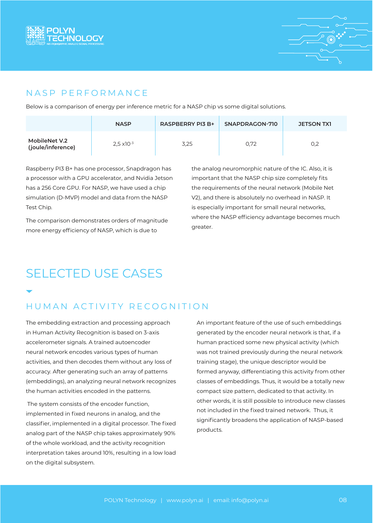



#### NASP PERFORMANCE

Below is a comparison of energy per inference metric for a NASP chip vs some digital solutions.

|                                    | <b>NASP</b>          | <b>RASPBERRY PI3 B+</b> | SNAPDRAGON-710 | <b>JETSON TX1</b> |
|------------------------------------|----------------------|-------------------------|----------------|-------------------|
| MobileNet V.2<br>(joule/inference) | $2.5 \times 10^{-3}$ | 3,25                    | 0.72           | 0,2               |

Raspberry PI3 B+ has one processor, Snapdragon has a processor with a GPU accelerator, and Nvidia Jetson has a 256 Core GPU. For NASP, we have used a chip simulation (D-MVP) model and data from the NASP Test Chip.

The comparison demonstrates orders of magnitude more energy efficiency of NASP, which is due to

the analog neuromorphic nature of the IC. Also, it is important that the NASP chip size completely fits the requirements of the neural network (Mobile Net V2), and there is absolutely no overhead in NASP. It is especially important for small neural networks, where the NASP efficiency advantage becomes much greater.

### **SELECTED USE CASFS**

### HUMAN ACTIVITY RECOGNITION

The embedding extraction and processing approach in Human Activity Recognition is based on 3-axis accelerometer signals. A trained autoencoder neural network encodes various types of human activities, and then decodes them without any loss of accuracy. After generating such an array of patterns (embeddings), an analyzing neural network recognizes the human activities encoded in the patterns.

 The system consists of the encoder function, implemented in fixed neurons in analog, and the classifier, implemented in a digital processor. The fixed analog part of the NASP chip takes approximately 90% of the whole workload, and the activity recognition interpretation takes around 10%, resulting in a low load on the digital subsystem.

An important feature of the use of such embeddings generated by the encoder neural network is that, if a human practiced some new physical activity (which was not trained previously during the neural network training stage), the unique descriptor would be formed anyway, differentiating this activity from other classes of embeddings. Thus, it would be a totally new compact size pattern, dedicated to that activity. In other words, it is still possible to introduce new classes not included in the fixed trained network. Thus, it significantly broadens the application of NASP-based products.